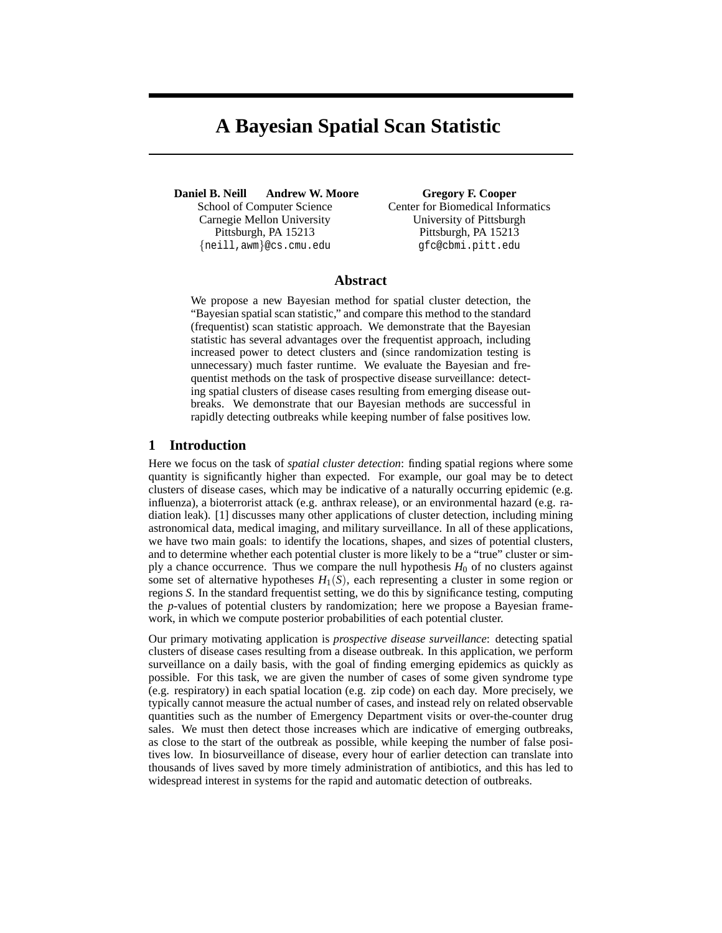# **A Bayesian Spatial Scan Statistic**

**Daniel B. Neill Andrew W. Moore** School of Computer Science Carnegie Mellon University Pittsburgh, PA 15213 {neill,awm}@cs.cmu.edu

**Gregory F. Cooper** Center for Biomedical Informatics University of Pittsburgh Pittsburgh, PA 15213 gfc@cbmi.pitt.edu

## **Abstract**

We propose a new Bayesian method for spatial cluster detection, the "Bayesian spatial scan statistic," and compare this method to the standard (frequentist) scan statistic approach. We demonstrate that the Bayesian statistic has several advantages over the frequentist approach, including increased power to detect clusters and (since randomization testing is unnecessary) much faster runtime. We evaluate the Bayesian and frequentist methods on the task of prospective disease surveillance: detecting spatial clusters of disease cases resulting from emerging disease outbreaks. We demonstrate that our Bayesian methods are successful in rapidly detecting outbreaks while keeping number of false positives low.

### **1 Introduction**

Here we focus on the task of *spatial cluster detection*: finding spatial regions where some quantity is significantly higher than expected. For example, our goal may be to detect clusters of disease cases, which may be indicative of a naturally occurring epidemic (e.g. influenza), a bioterrorist attack (e.g. anthrax release), or an environmental hazard (e.g. radiation leak). [1] discusses many other applications of cluster detection, including mining astronomical data, medical imaging, and military surveillance. In all of these applications, we have two main goals: to identify the locations, shapes, and sizes of potential clusters, and to determine whether each potential cluster is more likely to be a "true" cluster or simply a chance occurrence. Thus we compare the null hypothesis  $H_0$  of no clusters against some set of alternative hypotheses  $H_1(S)$ , each representing a cluster in some region or regions *S*. In the standard frequentist setting, we do this by significance testing, computing the *p*-values of potential clusters by randomization; here we propose a Bayesian framework, in which we compute posterior probabilities of each potential cluster.

Our primary motivating application is *prospective disease surveillance*: detecting spatial clusters of disease cases resulting from a disease outbreak. In this application, we perform surveillance on a daily basis, with the goal of finding emerging epidemics as quickly as possible. For this task, we are given the number of cases of some given syndrome type (e.g. respiratory) in each spatial location (e.g. zip code) on each day. More precisely, we typically cannot measure the actual number of cases, and instead rely on related observable quantities such as the number of Emergency Department visits or over-the-counter drug sales. We must then detect those increases which are indicative of emerging outbreaks, as close to the start of the outbreak as possible, while keeping the number of false positives low. In biosurveillance of disease, every hour of earlier detection can translate into thousands of lives saved by more timely administration of antibiotics, and this has led to widespread interest in systems for the rapid and automatic detection of outbreaks.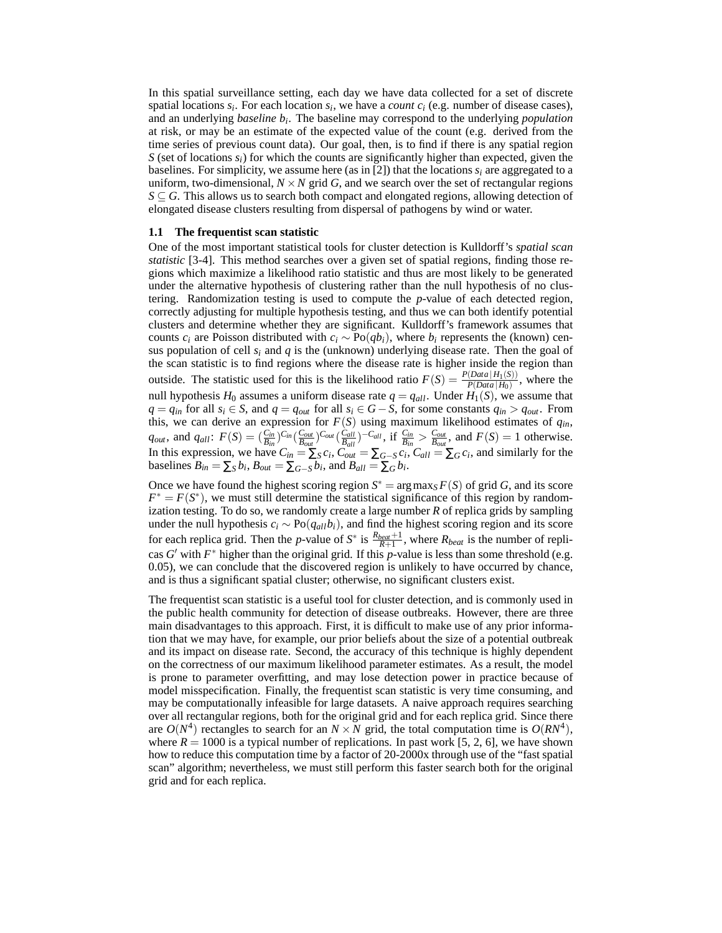In this spatial surveillance setting, each day we have data collected for a set of discrete spatial locations *s<sup>i</sup>* . For each location *s<sup>i</sup>* , we have a *count c<sup>i</sup>* (e.g. number of disease cases), and an underlying *baseline b<sup>i</sup>* . The baseline may correspond to the underlying *population* at risk, or may be an estimate of the expected value of the count (e.g. derived from the time series of previous count data). Our goal, then, is to find if there is any spatial region *S* (set of locations  $s_i$ ) for which the counts are significantly higher than expected, given the baselines. For simplicity, we assume here (as in [2]) that the locations  $s_i$  are aggregated to a uniform, two-dimensional,  $N \times N$  grid G, and we search over the set of rectangular regions  $S \subseteq G$ . This allows us to search both compact and elongated regions, allowing detection of elongated disease clusters resulting from dispersal of pathogens by wind or water.

#### **1.1 The frequentist scan statistic**

One of the most important statistical tools for cluster detection is Kulldorff's *spatial scan statistic* [3-4]. This method searches over a given set of spatial regions, finding those regions which maximize a likelihood ratio statistic and thus are most likely to be generated under the alternative hypothesis of clustering rather than the null hypothesis of no clustering. Randomization testing is used to compute the *p*-value of each detected region, correctly adjusting for multiple hypothesis testing, and thus we can both identify potential clusters and determine whether they are significant. Kulldorff's framework assumes that counts *c<sub>i</sub>* are Poisson distributed with  $c_i \sim Po(qb_i)$ , where  $b_i$  represents the (known) census population of cell *s<sup>i</sup>* and *q* is the (unknown) underlying disease rate. Then the goal of the scan statistic is to find regions where the disease rate is higher inside the region than outside. The statistic used for this is the likelihood ratio  $F(S) = \frac{P(Data | H_1(S))}{P(Data | H_0)}$ , where the null hypothesis  $H_0$  assumes a uniform disease rate  $q = q_{all}$ . Under  $H_1(S)$ , we assume that *q* = *q*<sub>*in*</sub> for all *s*<sub>*i*</sub> ∈ *S*, and *q* = *q*<sub>*out*</sub> for all *s*<sub>*i*</sub> ∈ *G*−*S*, for some constants *q*<sub>*in*</sub> > *q*<sub>*out*</sub>. From this, we can derive an expression for  $F(S)$  using maximum likelihood estimates of  $q_{in}$ , *q*<sub>out</sub>, and *q*<sub>all</sub>:  $F(S) = (\frac{C_{in}}{B_{in}})^{C_{in}}(\frac{C_{out}}{B_{out}})^{C_{out}}(\frac{C_{all}}{B_{all}})$  $\frac{C_{all}}{B_{all}}$ ) <sup>-*C*</sup><sup>*all*</sup>, if  $\frac{C_{in}}{B_{in}} > \frac{C_{out}}{B_{out}}$ , and  $F(S) = 1$  otherwise. In this expression, we have  $C_{in} = \sum_{S} c_i$ ,  $C_{out} = \sum_{G-S} c_i$ ,  $C_{all} = \sum_{G} c_i$ , and similarly for the baselines  $B_{in} = \sum_{S} b_{i}$ ,  $B_{out} = \sum_{G-S} b_{i}$ , and  $B_{all} = \sum_{G} b_{i}$ .

Once we have found the highest scoring region  $S^* = \arg \max_{S} F(S)$  of grid *G*, and its score  $F^* = F(S^*)$ , we must still determine the statistical significance of this region by randomization testing. To do so, we randomly create a large number *R* of replica grids by sampling under the null hypothesis  $c_i \sim Po(q_{\text{all}}b_i)$ , and find the highest scoring region and its score for each replica grid. Then the *p*-value of  $S^*$  is  $\frac{R_{beat}+1}{R+1}$ , where  $R_{beat}$  is the number of replicas  $G'$  with  $F^*$  higher than the original grid. If this *p*-value is less than some threshold (e.g. 0.05), we can conclude that the discovered region is unlikely to have occurred by chance, and is thus a significant spatial cluster; otherwise, no significant clusters exist.

The frequentist scan statistic is a useful tool for cluster detection, and is commonly used in the public health community for detection of disease outbreaks. However, there are three main disadvantages to this approach. First, it is difficult to make use of any prior information that we may have, for example, our prior beliefs about the size of a potential outbreak and its impact on disease rate. Second, the accuracy of this technique is highly dependent on the correctness of our maximum likelihood parameter estimates. As a result, the model is prone to parameter overfitting, and may lose detection power in practice because of model misspecification. Finally, the frequentist scan statistic is very time consuming, and may be computationally infeasible for large datasets. A naive approach requires searching over all rectangular regions, both for the original grid and for each replica grid. Since there are  $O(N^4)$  rectangles to search for an  $N \times N$  grid, the total computation time is  $O(RN^4)$ , where  $R = 1000$  is a typical number of replications. In past work [5, 2, 6], we have shown how to reduce this computation time by a factor of 20-2000x through use of the "fast spatial" scan" algorithm; nevertheless, we must still perform this faster search both for the original grid and for each replica.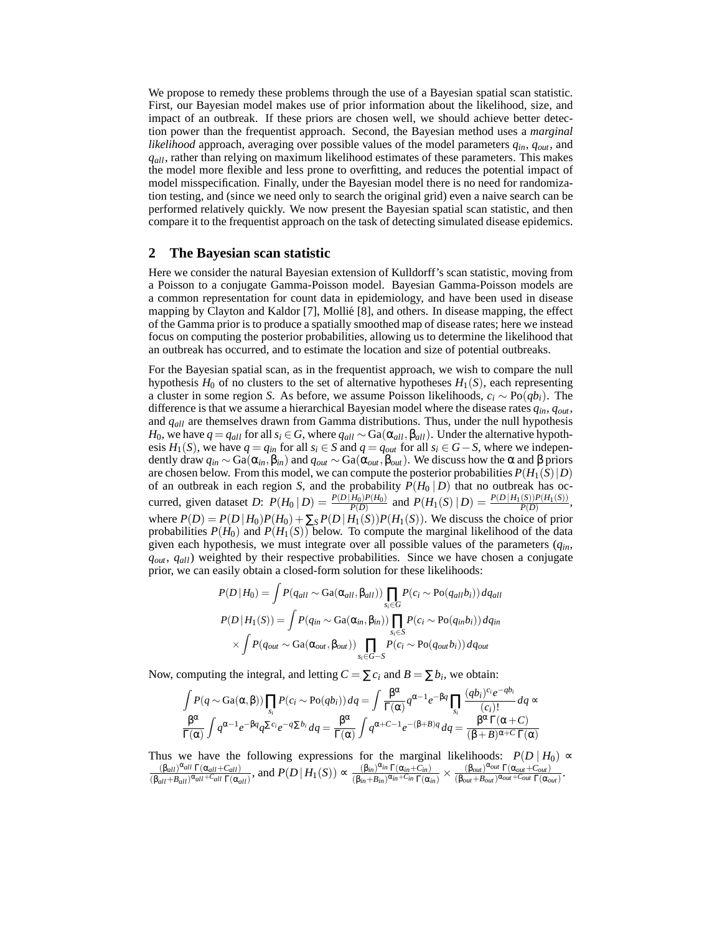We propose to remedy these problems through the use of a Bayesian spatial scan statistic. First, our Bayesian model makes use of prior information about the likelihood, size, and impact of an outbreak. If these priors are chosen well, we should achieve better detection power than the frequentist approach. Second, the Bayesian method uses a *marginal likelihood* approach, averaging over possible values of the model parameters *qin*, *qout*, and *qall*, rather than relying on maximum likelihood estimates of these parameters. This makes the model more flexible and less prone to overfitting, and reduces the potential impact of model misspecification. Finally, under the Bayesian model there is no need for randomization testing, and (since we need only to search the original grid) even a naive search can be performed relatively quickly. We now present the Bayesian spatial scan statistic, and then compare it to the frequentist approach on the task of detecting simulated disease epidemics.

#### **2 The Bayesian scan statistic**

Here we consider the natural Bayesian extension of Kulldorff's scan statistic, moving from a Poisson to a conjugate Gamma-Poisson model. Bayesian Gamma-Poisson models are a common representation for count data in epidemiology, and have been used in disease mapping by Clayton and Kaldor [7], Mollié [8], and others. In disease mapping, the effect of the Gamma prior is to produce a spatially smoothed map of disease rates; here we instead focus on computing the posterior probabilities, allowing us to determine the likelihood that an outbreak has occurred, and to estimate the location and size of potential outbreaks.

For the Bayesian spatial scan, as in the frequentist approach, we wish to compare the null hypothesis  $H_0$  of no clusters to the set of alternative hypotheses  $H_1(S)$ , each representing a cluster in some region *S*. As before, we assume Poisson likelihoods,  $c_i \sim Po(qb_i)$ . The difference is that we assume a hierarchical Bayesian model where the disease rates *qin*, *qout*, and *qall* are themselves drawn from Gamma distributions. Thus, under the null hypothesis *H*<sub>0</sub>, we have  $q = q_{all}$  for all  $s_i \in G$ , where  $q_{all} \sim Ga(\alpha_{all}, \beta_{all})$ . Under the alternative hypothesis  $H_1(S)$ , we have  $q = q_{in}$  for all  $s_i \in S$  and  $q = q_{out}$  for all  $s_i \in G - S$ , where we independently draw *qin* ∼ Ga(α*in*,β*in*) and *qout* ∼ Ga(α*out*,β*out*). We discuss how the α and β priors are chosen below. From this model, we can compute the posterior probabilities  $P(H_1(S)|D)$ of an outbreak in each region *S*, and the probability *P*(*H*<sup>0</sup> | *D*) that no outbreak has occurred, given dataset D:  $P(H_0 | D) = \frac{P(D | H_0)P(H_0)}{P(D)}$  and  $P(H_1(S) | D) = \frac{P(D | H_1(S))P(H_1(S))}{P(D)}$ , where  $P(D) = P(D|H_0)P(H_0) + \sum_{S} P(D|H_1(S))P(H_1(S))$ . We discuss the choice of prior probabilities  $P(H_0)$  and  $P(H_1(S))$  below. To compute the marginal likelihood of the data given each hypothesis, we must integrate over all possible values of the parameters (*qin*, *qout*, *qall*) weighted by their respective probabilities. Since we have chosen a conjugate prior, we can easily obtain a closed-form solution for these likelihoods:

$$
P(D | H_0) = \int P(q_{all} \sim Ga(\alpha_{all}, \beta_{all})) \prod_{s_i \in G} P(c_i \sim Po(q_{all}b_i)) dq_{all}
$$
  

$$
P(D | H_1(S)) = \int P(q_{in} \sim Ga(\alpha_{in}, \beta_{in})) \prod_{s_i \in S} P(c_i \sim Po(q_{in}b_i)) dq_{in}
$$
  

$$
\times \int P(q_{out} \sim Ga(\alpha_{out}, \beta_{out})) \prod_{s_i \in G-S} P(c_i \sim Po(q_{out}b_i)) dq_{out}
$$

Now, computing the integral, and letting  $C = \sum c_i$  and  $B = \sum b_i$ , we obtain:

$$
\int P(q \sim Ga(\alpha, \beta)) \prod_{s_i} P(c_i \sim Po(qb_i)) dq = \int \frac{\beta^{\alpha}}{\Gamma(\alpha)} q^{\alpha-1} e^{-\beta q} \prod_{s_i} \frac{(qb_i)^{c_i} e^{-qb_i}}{(c_i)!} dq \propto
$$
  

$$
\frac{\beta^{\alpha}}{\Gamma(\alpha)} \int q^{\alpha-1} e^{-\beta q} q^{\sum c_i} e^{-q\sum b_i} dq = \frac{\beta^{\alpha}}{\Gamma(\alpha)} \int q^{\alpha+C-1} e^{-(\beta+B)q} dq = \frac{\beta^{\alpha} \Gamma(\alpha+C)}{(\beta+B)^{\alpha+C} \Gamma(\alpha)}
$$

Thus we have the following expressions for the marginal likelihoods:  $P(D | H_0) \propto$ (β*all*) <sup>α</sup>*all* Γ(α*all*+*Call*)  $\frac{(\beta_{all})^{\alpha_{all}} \Gamma(\alpha_{all} + C_{all})}{(\beta_{all} + B_{all})^{\alpha_{all} + C_{all}} \Gamma(\alpha_{all})},$  and  $P(D | H_1(S)) \propto \frac{(\beta_{in})^{\alpha_{in}} \Gamma(\alpha_{in} + C_{in})}{(\beta_{in} + B_{in})^{\alpha_{in} + C_{in}} \Gamma(\alpha_{in} + C_{in})}$  $\frac{(\beta_{in})^{\alpha_{in}}\Gamma(\alpha_{in}+\bar{C}_{in})}{(\beta_{in}+\beta_{in})^{\alpha_{in}+\bar{C}_{in}}\Gamma(\alpha_{in})} \times \frac{(\beta_{out})^{\alpha_{out}}\Gamma(\alpha_{out}+\bar{C}_{out})}{(\beta_{out}+\beta_{out})^{\alpha_{out}+\bar{C}_{out}}\Gamma(\alpha_{out})}$  $\frac{(\mathsf{p}_{out})^{\neg \mathsf{out}} \mathsf{I} \left(\alpha_{out} + \mathsf{C}_{out}\right)}{(\beta_{out} + \mathsf{B}_{out})^{\alpha_{out} + \mathsf{C}_{out}} \Gamma(\alpha_{out})}.$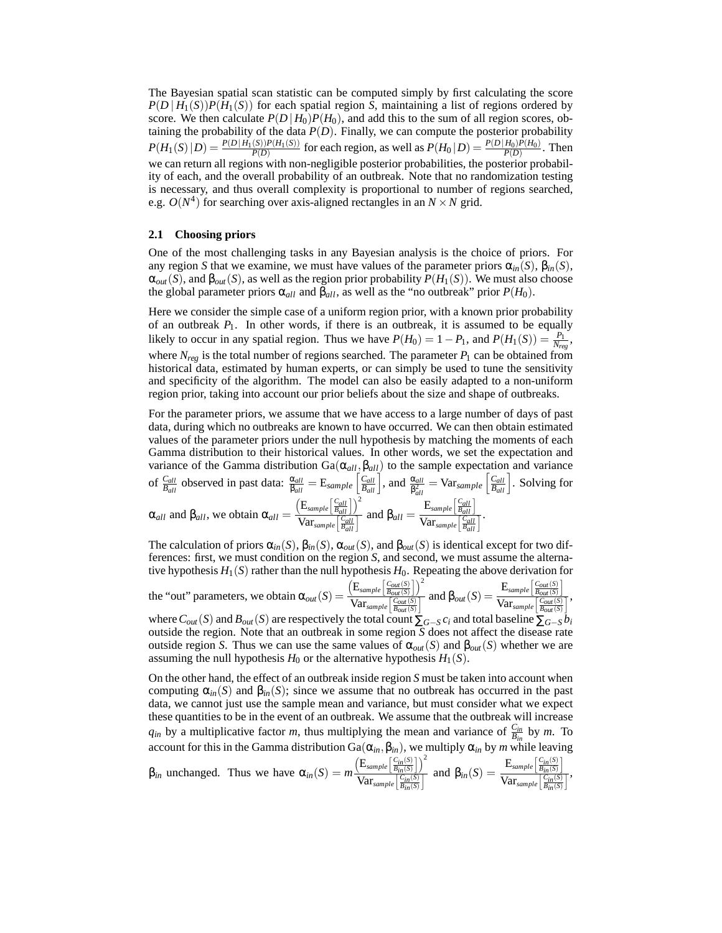The Bayesian spatial scan statistic can be computed simply by first calculating the score  $P(D | H_1(S)P(H_1(S))$  for each spatial region *S*, maintaining a list of regions ordered by score. We then calculate  $P(D | H_0)P(H_0)$ , and add this to the sum of all region scores, obtaining the probability of the data  $P(D)$ . Finally, we can compute the posterior probability  $P(H_1(S)|D) = \frac{P(D|H_1(S))P(H_1(S))}{P(D)}$  for each region, as well as  $P(H_0|D) = \frac{P(D|H_0)P(H_0)}{P(D)}$ . Then we can return all regions with non-negligible posterior probabilities, the posterior probability of each, and the overall probability of an outbreak. Note that no randomization testing is necessary, and thus overall complexity is proportional to number of regions searched, e.g.  $O(N^4)$  for searching over axis-aligned rectangles in an  $N \times N$  grid.

#### **2.1 Choosing priors**

One of the most challenging tasks in any Bayesian analysis is the choice of priors. For any region *S* that we examine, we must have values of the parameter priors  $\alpha_{in}(S)$ ,  $\beta_{in}(S)$ ,  $\alpha_{out}(S)$ , and  $\beta_{out}(S)$ , as well as the region prior probability  $P(H_1(S))$ . We must also choose the global parameter priors  $\alpha_{all}$  and  $\beta_{all}$ , as well as the "no outbreak" prior  $P(H_0)$ .

Here we consider the simple case of a uniform region prior, with a known prior probability of an outbreak  $P_1$ . In other words, if there is an outbreak, it is assumed to be equally likely to occur in any spatial region. Thus we have  $P(H_0) = 1 - P_1$ , and  $P(H_1(S)) = \frac{P_1}{N_{reg}}$ , where  $N_{reg}$  is the total number of regions searched. The parameter  $P_1$  can be obtained from historical data, estimated by human experts, or can simply be used to tune the sensitivity and specificity of the algorithm. The model can also be easily adapted to a non-uniform region prior, taking into account our prior beliefs about the size and shape of outbreaks.

For the parameter priors, we assume that we have access to a large number of days of past data, during which no outbreaks are known to have occurred. We can then obtain estimated values of the parameter priors under the null hypothesis by matching the moments of each Gamma distribution to their historical values. In other words, we set the expectation and variance of the Gamma distribution  $Ga(\alpha_{all}, \beta_{all})$  to the sample expectation and variance of  $\frac{C_{all}}{B_{all}}$  observed in past data:  $\frac{\alpha_{all}}{\beta_{all}} = E_{sample} \left[ \frac{C_{all}}{B_{all}} \right]$ , and  $\frac{\alpha_{all}}{\beta_{all}^2} = \text{Var}_{sample} \left[ \frac{C_{all}}{B_{all}} \right]$ . Solving for  $\alpha_{all}$  and  $\beta_{all}$ , we obtain  $\alpha_{all} =$  $\left(\mathrm{E}_{sample}\left[\frac{\mathit{C}_{all}}{\mathit{B}_{all}}\right]\right)^{2}$  $\frac{\text{Sample } [B_{all}]}{\text{Var}_{sample} [E_{all}]}$  and  $\beta_{all} =$  $\mathrm{E}_{\mathit{sample}}\Big[\frac{\mathrm{C}_{all}}{\mathrm{B}_{all}}\Big]$  $\frac{\sum_{sample} |B_{all}|}{\sum_{sample} \left[\frac{C_{all}}{B_{all}}\right]}$ .

The calculation of priors  $\alpha_{in}(S)$ ,  $\beta_{in}(S)$ ,  $\alpha_{out}(S)$ , and  $\beta_{out}(S)$  is identical except for two differences: first, we must condition on the region *S*, and second, we must assume the alternative hypothesis  $H_1(S)$  rather than the null hypothesis  $H_0$ . Repeating the above derivation for

the "out" parameters, we obtain 
$$
\alpha_{out}(S) = \frac{\left(E_{sample}\left[\frac{C_{out}(S)}{B_{out}(S)}\right]\right)^2}{Var_{sample}\left[\frac{C_{out}(S)}{B_{out}(S)}\right]}
$$
 and  $\beta_{out}(S) = \frac{E_{sample}\left[\frac{C_{out}(S)}{B_{out}(S)}\right]}{Var_{sample}\left[\frac{C_{out}(S)}{B_{out}(S)}\right]}$ ,

where  $C_{out}(S)$  and  $B_{out}(S)$  are respectively the total count  $\sum_{G-S} c_i$  and total baseline  $\sum_{G-S} b_i$ outside the region. Note that an outbreak in some region *S* does not affect the disease rate outside region *S*. Thus we can use the same values of α*out*(*S*) and β*out*(*S*) whether we are assuming the null hypothesis  $H_0$  or the alternative hypothesis  $H_1(S)$ .

On the other hand, the effect of an outbreak inside region *S* must be taken into account when computing  $\alpha_{in}(S)$  and  $\beta_{in}(S)$ ; since we assume that no outbreak has occurred in the past data, we cannot just use the sample mean and variance, but must consider what we expect these quantities to be in the event of an outbreak. We assume that the outbreak will increase  $q_{in}$  by a multiplicative factor *m*, thus multiplying the mean and variance of  $\frac{C_{in}}{B_{in}}$  by *m*. To account for this in the Gamma distribution  $Ga(\alpha_{in}, \beta_{in})$ , we multiply  $\alpha_{in}$  by *m* while leaving

$$
\beta_{in} \text{ unchanged. Thus we have } \alpha_{in}(S) = m \frac{\left(\mathrm{E}_{sample} \left[\frac{C_{in}(S)}{B_{in}(S)}\right]\right)^2}{\mathrm{Var}_{sample} \left[\frac{C_{in}(S)}{B_{in}(S)}\right]} \text{ and } \beta_{in}(S) = \frac{\mathrm{E}_{sample} \left[\frac{C_{in}(S)}{B_{in}(S)}\right]}{\mathrm{Var}_{sample} \left[\frac{C_{in}(S)}{B_{in}(S)}\right]},
$$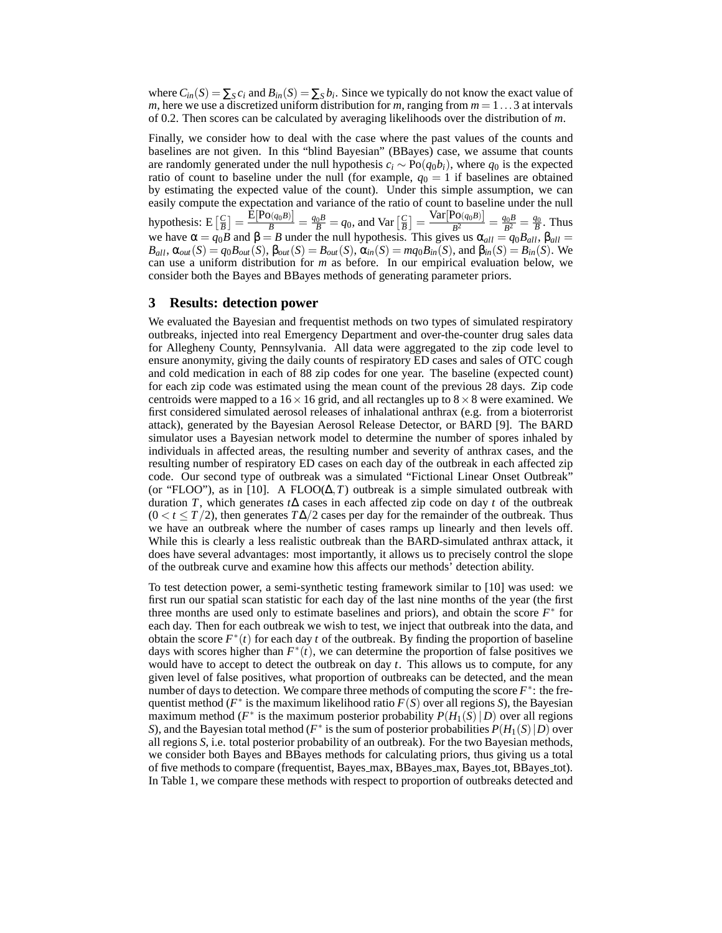where  $C_{in}(S) = \sum_{S} c_i$  and  $B_{in}(S) = \sum_{S} b_i$ . Since we typically do not know the exact value of *m*, here we use a discretized uniform distribution for *m*, ranging from  $m = 1...3$  at intervals of 0.2. Then scores can be calculated by averaging likelihoods over the distribution of *m*.

Finally, we consider how to deal with the case where the past values of the counts and baselines are not given. In this "blind Bayesian" (BBayes) case, we assume that counts are randomly generated under the null hypothesis  $c_i \sim Po(q_0b_i)$ , where  $q_0$  is the expected ratio of count to baseline under the null (for example,  $q_0 = 1$  if baselines are obtained by estimating the expected value of the count). Under this simple assumption, we can easily compute the expectation and variance of the ratio of count to baseline under the null hypothesis:  $E\left[\frac{C}{B}\right] = \frac{E[Po(q_0B)]}{B} = \frac{q_0B}{B} = q_0$ , and  $Var\left[\frac{C}{B}\right] = \frac{Var[Po(q_0B)]}{B^2} = \frac{q_0B}{B^2} = \frac{q_0}{B}$ . Thus we have  $\alpha = q_0B$  and  $\beta = B$  under the null hypothesis. This gives us  $\alpha_{all} = q_0B_{all}$ ,  $\beta_{all} =$  $B_{all}$ ,  $\alpha_{out}(S) = q_0 B_{out}(S)$ ,  $\beta_{out}(S) = B_{out}(S)$ ,  $\alpha_{in}(S) = mq_0 B_{in}(S)$ , and  $\beta_{in}(S) = B_{in}(S)$ . We can use a uniform distribution for *m* as before. In our empirical evaluation below, we consider both the Bayes and BBayes methods of generating parameter priors.

## **3 Results: detection power**

We evaluated the Bayesian and frequentist methods on two types of simulated respiratory outbreaks, injected into real Emergency Department and over-the-counter drug sales data for Allegheny County, Pennsylvania. All data were aggregated to the zip code level to ensure anonymity, giving the daily counts of respiratory ED cases and sales of OTC cough and cold medication in each of 88 zip codes for one year. The baseline (expected count) for each zip code was estimated using the mean count of the previous 28 days. Zip code centroids were mapped to a  $16 \times 16$  grid, and all rectangles up to  $8 \times 8$  were examined. We first considered simulated aerosol releases of inhalational anthrax (e.g. from a bioterrorist attack), generated by the Bayesian Aerosol Release Detector, or BARD [9]. The BARD simulator uses a Bayesian network model to determine the number of spores inhaled by individuals in affected areas, the resulting number and severity of anthrax cases, and the resulting number of respiratory ED cases on each day of the outbreak in each affected zip code. Our second type of outbreak was a simulated "Fictional Linear Onset Outbreak" (or "FLOO"), as in [10]. A FLOO $(\Delta, T)$  outbreak is a simple simulated outbreak with duration *T*, which generates *t*∆ cases in each affected zip code on day *t* of the outbreak (0 < *t* ≤ *T*/2), then generates *T*∆/2 cases per day for the remainder of the outbreak. Thus we have an outbreak where the number of cases ramps up linearly and then levels off. While this is clearly a less realistic outbreak than the BARD-simulated anthrax attack, it does have several advantages: most importantly, it allows us to precisely control the slope of the outbreak curve and examine how this affects our methods' detection ability.

To test detection power, a semi-synthetic testing framework similar to [10] was used: we first run our spatial scan statistic for each day of the last nine months of the year (the first three months are used only to estimate baselines and priors), and obtain the score  $F^*$  for each day. Then for each outbreak we wish to test, we inject that outbreak into the data, and obtain the score  $F^*(t)$  for each day  $t$  of the outbreak. By finding the proportion of baseline days with scores higher than  $F^*(t)$ , we can determine the proportion of false positives we would have to accept to detect the outbreak on day *t*. This allows us to compute, for any given level of false positives, what proportion of outbreaks can be detected, and the mean number of days to detection. We compare three methods of computing the score  $F^*$ : the frequentist method ( $F^*$  is the maximum likelihood ratio  $F(S)$  over all regions *S*), the Bayesian maximum method ( $F^*$  is the maximum posterior probability  $P(H_1(S) | D)$  over all regions *S*), and the Bayesian total method (*F*<sup>\*</sup> is the sum of posterior probabilities  $P(H_1(S)|D)$  over all regions *S*, i.e. total posterior probability of an outbreak). For the two Bayesian methods, we consider both Bayes and BBayes methods for calculating priors, thus giving us a total of five methods to compare (frequentist, Bayes max, BBayes max, Bayes tot, BBayes tot). In Table 1, we compare these methods with respect to proportion of outbreaks detected and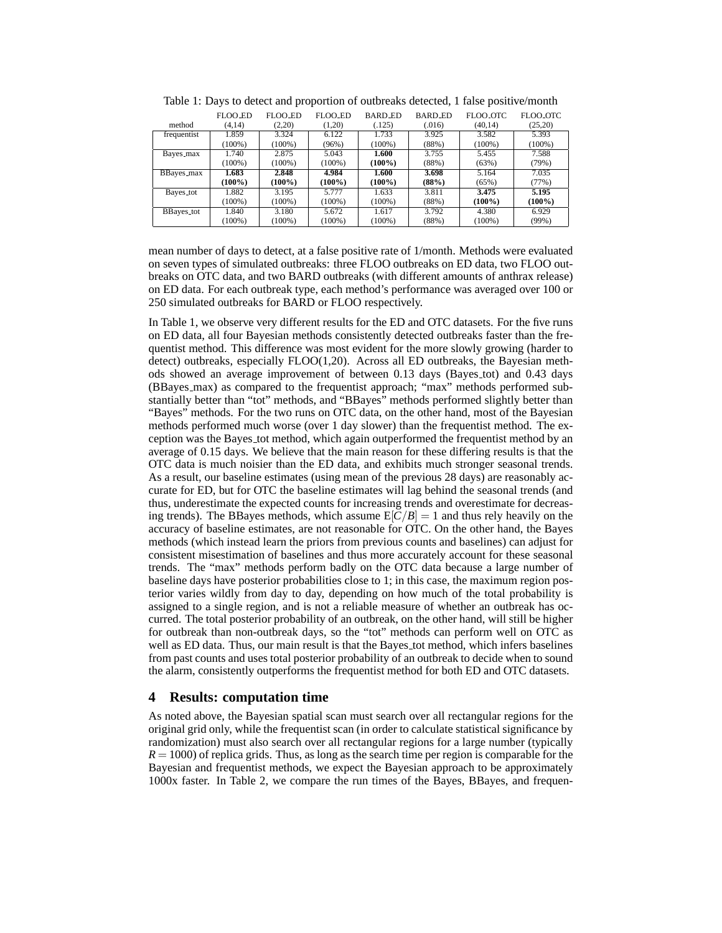|                   | FLOO ED   | FLOO ED   | FLOO ED   | BARD ED   | <b>BARD ED</b> | FLOO OTC  | FLOO OTC  |
|-------------------|-----------|-----------|-----------|-----------|----------------|-----------|-----------|
| method            | (4.14)    | (2,20)    | (1,20)    | (.125)    | (.016)         | (40.14)   | (25,20)   |
| frequentist       | 1.859     | 3.324     | 6.122     | 1.733     | 3.925          | 3.582     | 5.393     |
|                   | $(100\%)$ | $(100\%)$ | (96%)     | $(100\%)$ | (88%)          | $(100\%)$ | $(100\%)$ |
| Bayes max         | 1.740     | 2.875     | 5.043     | 1.600     | 3.755          | 5.455     | 7.588     |
|                   | $(100\%)$ | $(100\%)$ | $(100\%)$ | $(100\%)$ | (88%)          | (63%)     | (79%)     |
|                   |           |           |           |           |                |           |           |
| BBayes max        | 1.683     | 2.848     | 4.984     | 1.600     | 3.698          | 5.164     | 7.035     |
|                   | $(100\%)$ | $(100\%)$ | $(100\%)$ | $(100\%)$ | (88%)          | (65%)     | (77%)     |
| Bayes tot         | 1.882     | 3.195     | 5.777     | 1.633     | 3.811          | 3.475     | 5.195     |
|                   | $(100\%)$ | $(100\%)$ | $(100\%)$ | $(100\%)$ | (88%)          | $(100\%)$ | $(100\%)$ |
| <b>BBayes</b> tot | 1.840     | 3.180     | 5.672     | 1.617     | 3.792          | 4.380     | 6.929     |

Table 1: Days to detect and proportion of outbreaks detected, 1 false positive/month

mean number of days to detect, at a false positive rate of 1/month. Methods were evaluated on seven types of simulated outbreaks: three FLOO outbreaks on ED data, two FLOO outbreaks on OTC data, and two BARD outbreaks (with different amounts of anthrax release) on ED data. For each outbreak type, each method's performance was averaged over 100 or 250 simulated outbreaks for BARD or FLOO respectively.

In Table 1, we observe very different results for the ED and OTC datasets. For the five runs on ED data, all four Bayesian methods consistently detected outbreaks faster than the frequentist method. This difference was most evident for the more slowly growing (harder to detect) outbreaks, especially FLOO(1,20). Across all ED outbreaks, the Bayesian methods showed an average improvement of between 0.13 days (Bayes tot) and 0.43 days (BBayes max) as compared to the frequentist approach; "max" methods performed substantially better than "tot" methods, and "BBayes" methods performed slightly better than "Bayes" methods. For the two runs on OTC data, on the other hand, most of the Bayesian methods performed much worse (over 1 day slower) than the frequentist method. The exception was the Bayes tot method, which again outperformed the frequentist method by an average of 0.15 days. We believe that the main reason for these differing results is that the OTC data is much noisier than the ED data, and exhibits much stronger seasonal trends. As a result, our baseline estimates (using mean of the previous 28 days) are reasonably accurate for ED, but for OTC the baseline estimates will lag behind the seasonal trends (and thus, underestimate the expected counts for increasing trends and overestimate for decreasing trends). The BBayes methods, which assume  $E[C/B] = 1$  and thus rely heavily on the accuracy of baseline estimates, are not reasonable for OTC. On the other hand, the Bayes methods (which instead learn the priors from previous counts and baselines) can adjust for consistent misestimation of baselines and thus more accurately account for these seasonal trends. The "max" methods perform badly on the OTC data because a large number of baseline days have posterior probabilities close to 1; in this case, the maximum region posterior varies wildly from day to day, depending on how much of the total probability is assigned to a single region, and is not a reliable measure of whether an outbreak has occurred. The total posterior probability of an outbreak, on the other hand, will still be higher for outbreak than non-outbreak days, so the "tot" methods can perform well on OTC as well as ED data. Thus, our main result is that the Bayes tot method, which infers baselines from past counts and uses total posterior probability of an outbreak to decide when to sound the alarm, consistently outperforms the frequentist method for both ED and OTC datasets.

## **4 Results: computation time**

As noted above, the Bayesian spatial scan must search over all rectangular regions for the original grid only, while the frequentist scan (in order to calculate statistical significance by randomization) must also search over all rectangular regions for a large number (typically  $R = 1000$ ) of replica grids. Thus, as long as the search time per region is comparable for the Bayesian and frequentist methods, we expect the Bayesian approach to be approximately 1000x faster. In Table 2, we compare the run times of the Bayes, BBayes, and frequen-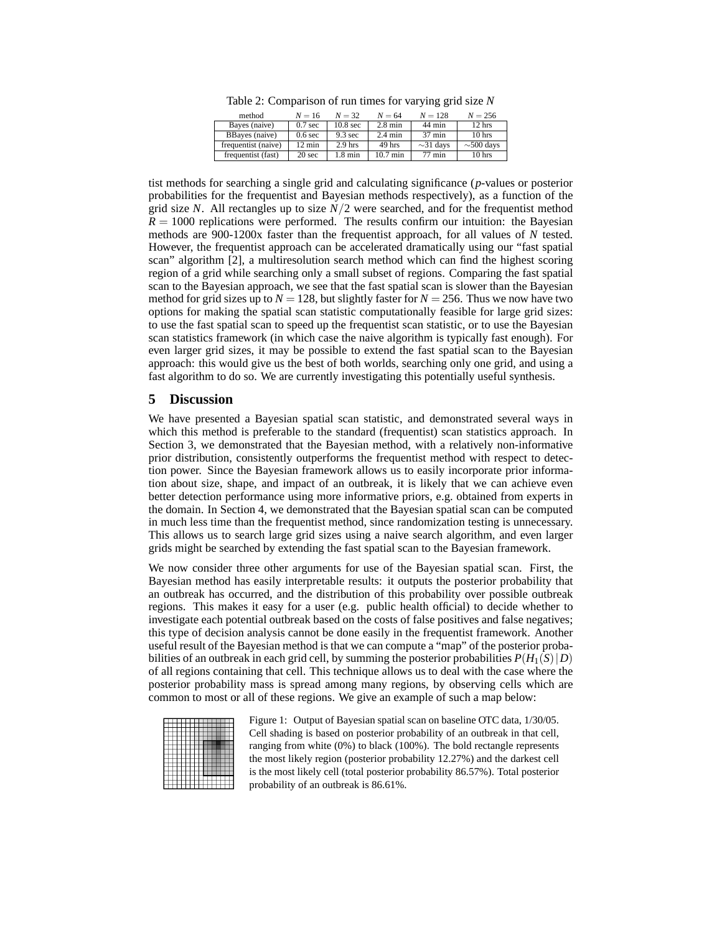| method              | $N = 16$           | $N = 32$            | $N = 64$           | $N = 128$        | $N = 256$         |
|---------------------|--------------------|---------------------|--------------------|------------------|-------------------|
| Bayes (naive)       | 0.7 <sub>sec</sub> | 10.8 <sub>sec</sub> | $2.8 \text{ min}$  | 44 min           | $12$ hrs          |
| BBayes (naive)      | 0.6 <sub>sec</sub> | $9.3 \text{ sec}$   | $2.4 \text{ min}$  | $37 \text{ min}$ | 10 <sub>hrs</sub> |
| frequentist (naive) | $12 \text{ min}$   | $2.9$ hrs           | 49 hrs             | $\sim$ 31 days   | $\sim$ 500 days   |
| frequentist (fast)  | 20 sec             | $1.8 \text{ min}$   | $10.7 \text{ min}$ | 77 min           | 10 <sub>hrs</sub> |

Table 2: Comparison of run times for varying grid size *N*

tist methods for searching a single grid and calculating significance (*p*-values or posterior probabilities for the frequentist and Bayesian methods respectively), as a function of the grid size *N*. All rectangles up to size  $N/2$  were searched, and for the frequentist method  $R = 1000$  replications were performed. The results confirm our intuition: the Bayesian methods are 900-1200x faster than the frequentist approach, for all values of *N* tested. However, the frequentist approach can be accelerated dramatically using our "fast spatial scan" algorithm [2], a multiresolution search method which can find the highest scoring region of a grid while searching only a small subset of regions. Comparing the fast spatial scan to the Bayesian approach, we see that the fast spatial scan is slower than the Bayesian method for grid sizes up to  $N = 128$ , but slightly faster for  $N = 256$ . Thus we now have two options for making the spatial scan statistic computationally feasible for large grid sizes: to use the fast spatial scan to speed up the frequentist scan statistic, or to use the Bayesian scan statistics framework (in which case the naive algorithm is typically fast enough). For even larger grid sizes, it may be possible to extend the fast spatial scan to the Bayesian approach: this would give us the best of both worlds, searching only one grid, and using a fast algorithm to do so. We are currently investigating this potentially useful synthesis.

## **5 Discussion**

We have presented a Bayesian spatial scan statistic, and demonstrated several ways in which this method is preferable to the standard (frequentist) scan statistics approach. In Section 3, we demonstrated that the Bayesian method, with a relatively non-informative prior distribution, consistently outperforms the frequentist method with respect to detection power. Since the Bayesian framework allows us to easily incorporate prior information about size, shape, and impact of an outbreak, it is likely that we can achieve even better detection performance using more informative priors, e.g. obtained from experts in the domain. In Section 4, we demonstrated that the Bayesian spatial scan can be computed in much less time than the frequentist method, since randomization testing is unnecessary. This allows us to search large grid sizes using a naive search algorithm, and even larger grids might be searched by extending the fast spatial scan to the Bayesian framework.

We now consider three other arguments for use of the Bayesian spatial scan. First, the Bayesian method has easily interpretable results: it outputs the posterior probability that an outbreak has occurred, and the distribution of this probability over possible outbreak regions. This makes it easy for a user (e.g. public health official) to decide whether to investigate each potential outbreak based on the costs of false positives and false negatives; this type of decision analysis cannot be done easily in the frequentist framework. Another useful result of the Bayesian method is that we can compute a "map" of the posterior probabilities of an outbreak in each grid cell, by summing the posterior probabilities  $P(H_1(S)|D)$ of all regions containing that cell. This technique allows us to deal with the case where the posterior probability mass is spread among many regions, by observing cells which are common to most or all of these regions. We give an example of such a map below:

Figure 1: Output of Bayesian spatial scan on baseline OTC data, 1/30/05. Cell shading is based on posterior probability of an outbreak in that cell, ranging from white (0%) to black (100%). The bold rectangle represents the most likely region (posterior probability 12.27%) and the darkest cell is the most likely cell (total posterior probability 86.57%). Total posterior probability of an outbreak is 86.61%.